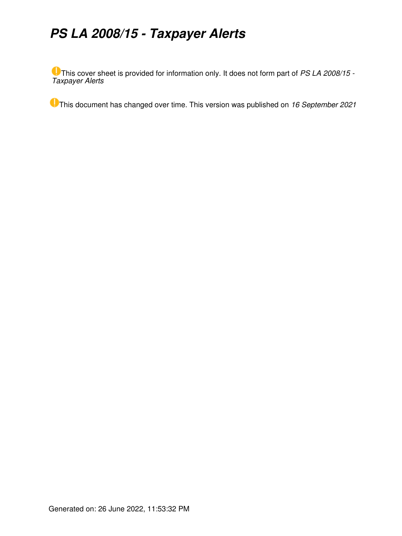# *PS LA 2008/15 - Taxpayer Alerts*

This cover sheet is provided for information only. It does not form part of *PS LA 2008/15 - Taxpayer Alerts*

This document has changed over time. This version was published on *16 September 2021*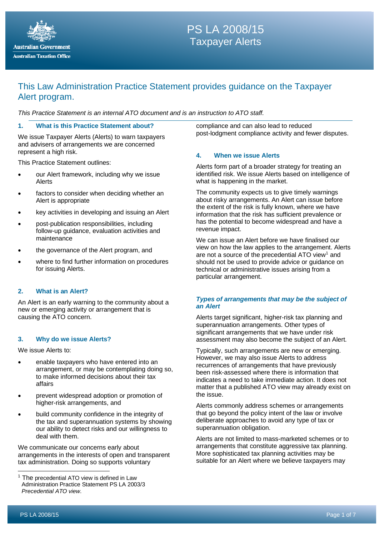

## **PS LA 2006/10**<br>Paypover Alerte PS LA 2008/15 Taxpayer Alerts

## This Law Administration Practice Statement provides guidance on the Taxpayer Alert program.

*This Practice Statement is an internal ATO document and is an instruction to ATO staff.*

#### **1. What is this Practice Statement about?**

We issue Taxpayer Alerts (Alerts) to warn taxpayers and advisers of arrangements we are concerned represent a high risk.

This Practice Statement outlines:

- our Alert framework, including why we issue Alerts
- factors to consider when deciding whether an Alert is appropriate
- key activities in developing and issuing an Alert
- post-publication responsibilities, including follow-up guidance, evaluation activities and maintenance
- the governance of the Alert program, and
- where to find further information on procedures for issuing Alerts.

#### **2. What is an Alert?**

An Alert is an early warning to the community about a new or emerging activity or arrangement that is causing the ATO concern.

#### **3. Why do we issue Alerts?**

We issue Alerts to:

- enable taxpayers who have entered into an arrangement, or may be contemplating doing so, to make informed decisions about their tax affairs
- prevent widespread adoption or promotion of higher-risk arrangements, and
- build community confidence in the integrity of the tax and superannuation systems by showing our ability to detect risks and our willingness to deal with them.

We communicate our concerns early about arrangements in the interests of open and transparent tax administration. Doing so supports voluntary

compliance and can also lead to reduced post-lodgment compliance activity and fewer disputes.

#### **4. When we issue Alerts**

Alerts form part of a broader strategy for treating an identified risk. We issue Alerts based on intelligence of what is happening in the market.

The community expects us to give timely warnings about risky arrangements. An Alert can issue before the extent of the risk is fully known, where we have information that the risk has sufficient prevalence or has the potential to become widespread and have a revenue impact.

We can issue an Alert before we have finalised our view on how the law applies to the arrangement. Alerts are not a source of the precedential ATO view<sup>[1](#page-1-0)</sup> and should not be used to provide advice or guidance on technical or administrative issues arising from a particular arrangement.

#### *Types of arrangements that may be the subject of an Alert*

Alerts target significant, higher-risk tax planning and superannuation arrangements. Other types of significant arrangements that we have under risk assessment may also become the subject of an Alert.

Typically, such arrangements are new or emerging. However, we may also issue Alerts to address recurrences of arrangements that have previously been risk-assessed where there is information that indicates a need to take immediate action. It does not matter that a published ATO view may already exist on the issue.

Alerts commonly address schemes or arrangements that go beyond the policy intent of the law or involve deliberate approaches to avoid any type of tax or superannuation obligation.

Alerts are not limited to mass-marketed schemes or to arrangements that constitute aggressive tax planning. More sophisticated tax planning activities may be suitable for an Alert where we believe taxpayers may

<span id="page-1-0"></span> $1$  The precedential ATO view is defined in Law Administration Practice Statement PS LA 2003/3 *Precedential ATO view*.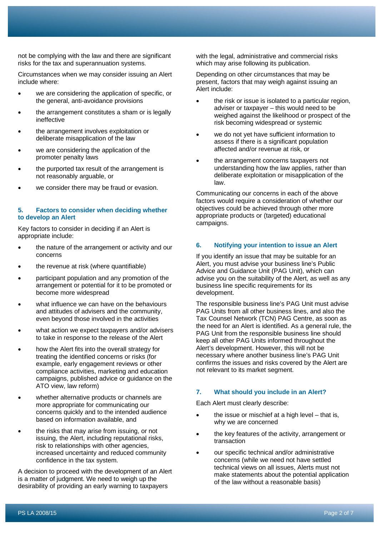not be complying with the law and there are significant risks for the tax and superannuation systems.

Circumstances when we may consider issuing an Alert include where:

- we are considering the application of specific, or the general, anti-avoidance provisions
- the arrangement constitutes a sham or is legally ineffective
- the arrangement involves exploitation or deliberate misapplication of the law
- we are considering the application of the promoter penalty laws
- the purported tax result of the arrangement is not reasonably arguable, or
- we consider there may be fraud or evasion.

#### **5. Factors to consider when deciding whether to develop an Alert**

Key factors to consider in deciding if an Alert is appropriate include:

- the nature of the arrangement or activity and our concerns
- the revenue at risk (where quantifiable)
- participant population and any promotion of the arrangement or potential for it to be promoted or become more widespread
- what influence we can have on the behaviours and attitudes of advisers and the community, even beyond those involved in the activities
- what action we expect taxpayers and/or advisers to take in response to the release of the Alert
- how the Alert fits into the overall strategy for treating the identified concerns or risks (for example, early engagement reviews or other compliance activities, marketing and education campaigns, published advice or guidance on the ATO view, law reform)
- whether alternative products or channels are more appropriate for communicating our concerns quickly and to the intended audience based on information available, and
- the risks that may arise from issuing, or not issuing, the Alert, including reputational risks, risk to relationships with other agencies, increased uncertainty and reduced community confidence in the tax system.

A decision to proceed with the development of an Alert is a matter of judgment. We need to weigh up the desirability of providing an early warning to taxpayers

with the legal, administrative and commercial risks which may arise following its publication.

Depending on other circumstances that may be present, factors that may weigh against issuing an Alert include:

- the risk or issue is isolated to a particular region, adviser or taxpayer – this would need to be weighed against the likelihood or prospect of the risk becoming widespread or systemic
- we do not yet have sufficient information to assess if there is a significant population affected and/or revenue at risk, or
- the arrangement concerns taxpayers not understanding how the law applies, rather than deliberate exploitation or misapplication of the law.

Communicating our concerns in each of the above factors would require a consideration of whether our objectives could be achieved through other more appropriate products or (targeted) educational campaigns.

#### **6. Notifying your intention to issue an Alert**

If you identify an issue that may be suitable for an Alert, you must advise your business line's Public Advice and Guidance Unit (PAG Unit), which can advise you on the suitability of the Alert, as well as any business line specific requirements for its development.

The responsible business line's PAG Unit must advise PAG Units from all other business lines, and also the Tax Counsel Network (TCN) PAG Centre, as soon as the need for an Alert is identified. As a general rule, the PAG Unit from the responsible business line should keep all other PAG Units informed throughout the Alert's development. However, this will not be necessary where another business line's PAG Unit confirms the issues and risks covered by the Alert are not relevant to its market segment.

#### **7. What should you include in an Alert?**

Each Alert must clearly describe:

- the issue or mischief at a high level  $-$  that is, why we are concerned
- the key features of the activity, arrangement or transaction
- our specific technical and/or administrative concerns (while we need not have settled technical views on all issues, Alerts must not make statements about the potential application of the law without a reasonable basis)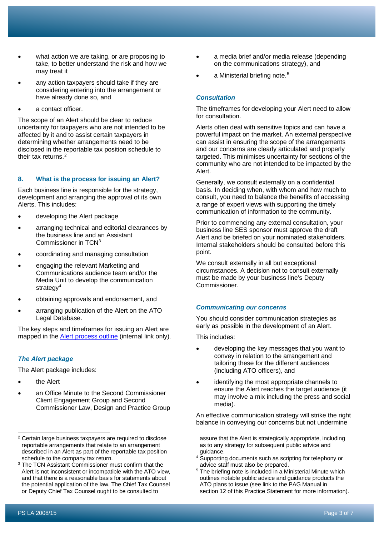- what action we are taking, or are proposing to take, to better understand the risk and how we may treat it
- any action taxpayers should take if they are considering entering into the arrangement or have already done so, and
- a contact officer.

The scope of an Alert should be clear to reduce uncertainty for taxpayers who are not intended to be affected by it and to assist certain taxpayers in determining whether arrangements need to be disclosed in the reportable tax position schedule to their tax returns. [2](#page-3-0)

## **8. What is the process for issuing an Alert?**

Each business line is responsible for the strategy, development and arranging the approval of its own Alerts. This includes:

- developing the Alert package
- arranging technical and editorial clearances by the business line and an Assistant Commissioner in TCN[3](#page-3-1)
- coordinating and managing consultation
- engaging the relevant Marketing and Communications audience team and/or the Media Unit to develop the communication strategy<sup>[4](#page-3-2)</sup>
- obtaining approvals and endorsement, and
- arranging publication of the Alert on the ATO Legal Database.

The key steps and timeframes for issuing an Alert are mapped in the **Alert process outline** (internal link only).

## *The Alert package*

The Alert package includes:

- the Alert
- an Office Minute to the Second Commissioner Client Engagement Group and Second Commissioner Law, Design and Practice Group
- a media brief and/or media release (depending on the communications strategy), and
- a Ministerial briefing note.<sup>[5](#page-3-3)</sup>

## *Consultation*

The timeframes for developing your Alert need to allow for consultation.

Alerts often deal with sensitive topics and can have a powerful impact on the market. An external perspective can assist in ensuring the scope of the arrangements and our concerns are clearly articulated and properly targeted. This minimises uncertainty for sections of the community who are not intended to be impacted by the Alert.

Generally, we consult externally on a confidential basis. In deciding when, with whom and how much to consult, you need to balance the benefits of accessing a range of expert views with supporting the timely communication of information to the community.

Prior to commencing any external consultation, your business line SES sponsor must approve the draft Alert and be briefed on your nominated stakeholders. Internal stakeholders should be consulted before this point.

We consult externally in all but exceptional circumstances. A decision not to consult externally must be made by your business line's Deputy Commissioner.

## *Communicating our concerns*

You should consider communication strategies as early as possible in the development of an Alert.

This includes:

- developing the key messages that you want to convey in relation to the arrangement and tailoring these for the different audiences (including ATO officers), and
- identifying the most appropriate channels to ensure the Alert reaches the target audience (it may involve a mix including the press and social media).

An effective communication strategy will strike the right balance in conveying our concerns but not undermine

assure that the Alert is strategically appropriate, including as to any strategy for subsequent public advice and guidance.

Supporting documents such as scripting for telephony or advice staff must also be prepared.

<span id="page-3-0"></span><sup>2</sup> Certain large business taxpayers are required to disclose reportable arrangements that relate to an arrangement described in an Alert as part of the reportable tax position schedule to the company tax return.

<span id="page-3-3"></span><span id="page-3-2"></span><span id="page-3-1"></span><sup>&</sup>lt;sup>3</sup> The TCN Assistant Commissioner must confirm that the Alert is not inconsistent or incompatible with the ATO view, and that there is a reasonable basis for statements about the potential application of the law. The Chief Tax Counsel or Deputy Chief Tax Counsel ought to be consulted to

<sup>&</sup>lt;sup>5</sup> The briefing note is included in a Ministerial Minute which outlines notable public advice and guidance products the ATO plans to issue (see link to the PAG Manual in section 12 of this Practice Statement for more information).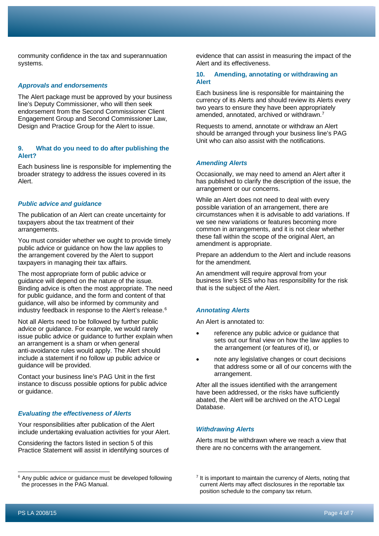community confidence in the tax and superannuation systems.

#### *Approvals and endorsements*

The Alert package must be approved by your business line's Deputy Commissioner, who will then seek endorsement from the Second Commissioner Client Engagement Group and Second Commissioner Law, Design and Practice Group for the Alert to issue.

#### **9. What do you need to do after publishing the Alert?**

Each business line is responsible for implementing the broader strategy to address the issues covered in its Alert.

#### *Public advice and guidance*

The publication of an Alert can create uncertainty for taxpayers about the tax treatment of their arrangements.

You must consider whether we ought to provide timely public advice or guidance on how the law applies to the arrangement covered by the Alert to support taxpayers in managing their tax affairs.

The most appropriate form of public advice or guidance will depend on the nature of the issue. Binding advice is often the most appropriate. The need for public guidance, and the form and content of that guidance, will also be informed by community and industry feedback in response to the Alert's release.<sup>[6](#page-4-0)</sup>

Not all Alerts need to be followed by further public advice or guidance. For example, we would rarely issue public advice or guidance to further explain when an arrangement is a sham or when general anti-avoidance rules would apply. The Alert should include a statement if no follow up public advice or guidance will be provided.

Contact your business line's PAG Unit in the first instance to discuss possible options for public advice or guidance.

#### *Evaluating the effectiveness of Alerts*

Your responsibilities after publication of the Alert include undertaking evaluation activities for your Alert.

Considering the factors listed in section 5 of this Practice Statement will assist in identifying sources of evidence that can assist in measuring the impact of the Alert and its effectiveness.

#### **10. Amending, annotating or withdrawing an Alert**

Each business line is responsible for maintaining the currency of its Alerts and should review its Alerts every two years to ensure they have been appropriately amended, annotated, archived or withdrawn.[7](#page-4-0)

Requests to amend, annotate or withdraw an Alert should be arranged through your business line's PAG Unit who can also assist with the notifications.

#### *Amending Alerts*

Occasionally, we may need to amend an Alert after it has published to clarify the description of the issue, the arrangement or our concerns.

While an Alert does not need to deal with every possible variation of an arrangement, there are circumstances when it is advisable to add variations. If we see new variations or features becoming more common in arrangements, and it is not clear whether these fall within the scope of the original Alert, an amendment is appropriate.

Prepare an addendum to the Alert and include reasons for the amendment.

An amendment will require approval from your business line's SES who has responsibility for the risk that is the subject of the Alert.

#### *Annotating Alerts*

An Alert is annotated to:

- reference any public advice or guidance that sets out our final view on how the law applies to the arrangement (or features of it), or
- note any legislative changes or court decisions that address some or all of our concerns with the arrangement.

After all the issues identified with the arrangement have been addressed, or the risks have sufficiently abated, the Alert will be archived on the ATO Legal Database.

#### *Withdrawing Alerts*

Alerts must be withdrawn where we reach a view that there are no concerns with the arrangement.

<span id="page-4-0"></span><sup>&</sup>lt;sup>6</sup> Any public advice or quidance must be developed following the processes in the PAG Manual.

 $<sup>7</sup>$  It is important to maintain the currency of Alerts, noting that</sup> current Alerts may affect disclosures in the reportable tax position schedule to the company tax return.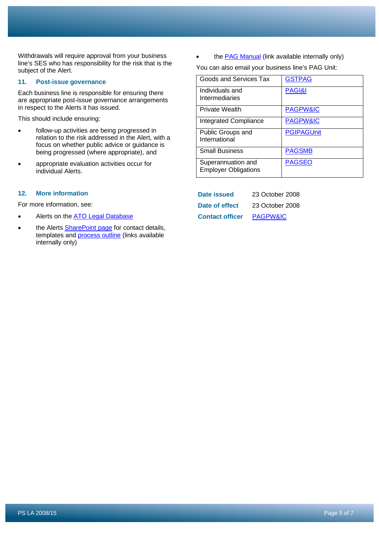Withdrawals will require approval from your business line's SES who has responsibility for the risk that is the subject of the Alert.

#### **11. Post-issue governance**

Each business line is responsible for ensuring there are appropriate post-issue governance arrangements in respect to the Alerts it has issued.

This should include ensuring:

- follow-up activities are being progressed in relation to the risk addressed in the Alert, with a focus on whether public advice or guidance is being progressed (where appropriate), and
- appropriate evaluation activities occur for individual Alerts.

#### **12. More information**

For more information, see:

- Alerts on the **ATO Legal Database**
- the Alerts **SharePoint page** for contact details, templates and [process outline](http://sharepoint/GASites/TES/PGH%20PAG%20Doc%20Library/New%20folder%20(2)/Taxpayer%20Alerts%20-%20Key%20Steps%20and%20Timeframes%20v3.docx) (links available internally only)

the **PAG Manual** (link available internally only)

You can also email your business line's PAG Unit:

| Goods and Services Tax                            | <b>GSTPAG</b>       |
|---------------------------------------------------|---------------------|
| Individuals and<br>Intermediaries                 | PAGI&I              |
| <b>Private Wealth</b>                             | <b>PAGPW&amp;IC</b> |
| <b>Integrated Compliance</b>                      | <b>PAGPW&amp;IC</b> |
| Public Groups and<br>International                | <b>PGIPAGUnit</b>   |
| <b>Small Business</b>                             | <b>PAGSMB</b>       |
| Superannuation and<br><b>Employer Obligations</b> | <b>PAGSEO</b>       |

| Date issued            | 23 October 2008     |
|------------------------|---------------------|
| Date of effect         | 23 October 2008     |
| <b>Contact officer</b> | <b>PAGPW&amp;IC</b> |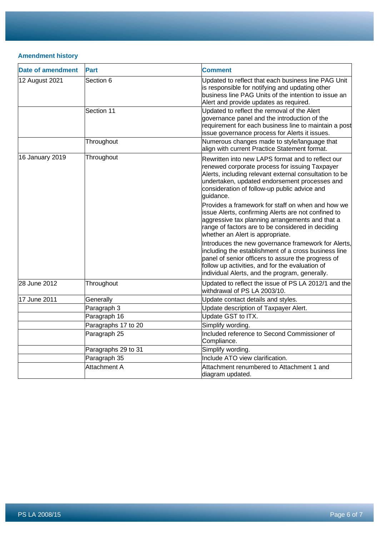## **Amendment history**

| <b>Date of amendment</b> | <b>Part</b>         | <b>Comment</b>                                                                                                                                                                                                                                                              |
|--------------------------|---------------------|-----------------------------------------------------------------------------------------------------------------------------------------------------------------------------------------------------------------------------------------------------------------------------|
| 12 August 2021           | Section 6           | Updated to reflect that each business line PAG Unit<br>is responsible for notifying and updating other<br>business line PAG Units of the intention to issue an<br>Alert and provide updates as required.                                                                    |
|                          | Section 11          | Updated to reflect the removal of the Alert<br>governance panel and the introduction of the<br>requirement for each business line to maintain a post<br>issue governance process for Alerts it issues.                                                                      |
|                          | Throughout          | Numerous changes made to style/language that<br>align with current Practice Statement format.                                                                                                                                                                               |
| 16 January 2019          | Throughout          | Rewritten into new LAPS format and to reflect our<br>renewed corporate process for issuing Taxpayer<br>Alerts, including relevant external consultation to be<br>undertaken, updated endorsement processes and<br>consideration of follow-up public advice and<br>guidance. |
|                          |                     | Provides a framework for staff on when and how we<br>issue Alerts, confirming Alerts are not confined to<br>aggressive tax planning arrangements and that a<br>range of factors are to be considered in deciding<br>whether an Alert is appropriate.                        |
|                          |                     | Introduces the new governance framework for Alerts,<br>including the establishment of a cross business line<br>panel of senior officers to assure the progress of<br>follow up activities, and for the evaluation of<br>individual Alerts, and the program, generally.      |
| 28 June 2012             | Throughout          | Updated to reflect the issue of PS LA 2012/1 and the<br>withdrawal of PS LA 2003/10.                                                                                                                                                                                        |
| 17 June 2011             | Generally           | Update contact details and styles.                                                                                                                                                                                                                                          |
|                          | Paragraph 3         | Update description of Taxpayer Alert.                                                                                                                                                                                                                                       |
|                          | Paragraph 16        | Update GST to ITX.                                                                                                                                                                                                                                                          |
|                          | Paragraphs 17 to 20 | Simplify wording.                                                                                                                                                                                                                                                           |
|                          | Paragraph 25        | Included reference to Second Commissioner of<br>Compliance.                                                                                                                                                                                                                 |
|                          | Paragraphs 29 to 31 | Simplify wording.                                                                                                                                                                                                                                                           |
|                          | Paragraph 35        | Include ATO view clarification.                                                                                                                                                                                                                                             |
|                          | Attachment A        | Attachment renumbered to Attachment 1 and<br>diagram updated.                                                                                                                                                                                                               |